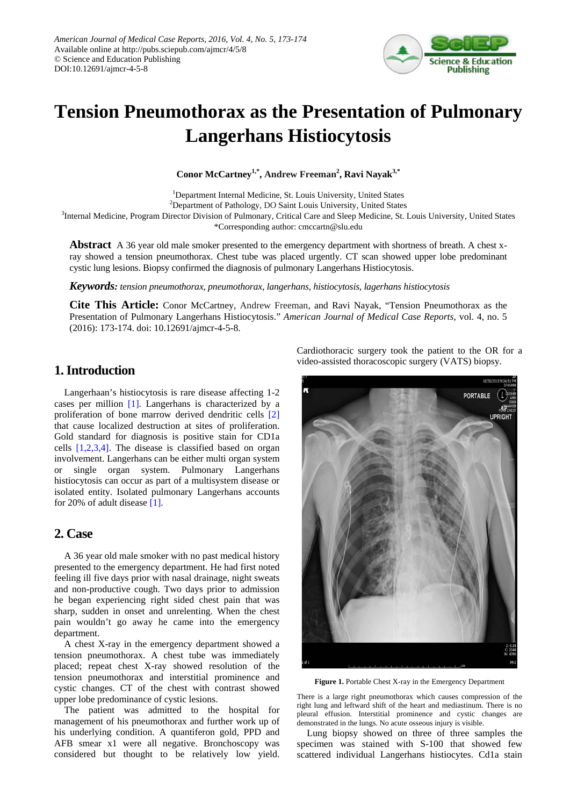

# **Tension Pneumothorax as the Presentation of Pulmonary Langerhans Histiocytosis**

**Conor McCartney1,\*, Andrew Freeman<sup>2</sup> , Ravi Nayak3,\***

<sup>1</sup>Department Internal Medicine, St. Louis University, United States <sup>2</sup>Department of Pathology, DO Saint Louis University, United States <sup>3</sup>Internal Medicine, Program Director Division of Pulmonary, Critical Care and Sleep Medicine, St. Louis University, United States \*Corresponding author: cmccartn@slu.edu

**Abstract** A 36 year old male smoker presented to the emergency department with shortness of breath. A chest xray showed a tension pneumothorax. Chest tube was placed urgently. CT scan showed upper lobe predominant cystic lung lesions. Biopsy confirmed the diagnosis of pulmonary Langerhans Histiocytosis.

*Keywords: tension pneumothorax, pneumothorax, langerhans, histiocytosis, lagerhans histiocytosis*

**Cite This Article:** Conor McCartney, Andrew Freeman, and Ravi Nayak, "Tension Pneumothorax as the Presentation of Pulmonary Langerhans Histiocytosis." *American Journal of Medical Case Reports*, vol. 4, no. 5 (2016): 173-174. doi: 10.12691/ajmcr-4-5-8.

## **1. Introduction**

Langerhaan's histiocytosis is rare disease affecting 1-2 cases per million [\[1\].](#page-1-0) Langerhans is characterized by a proliferation of bone marrow derived dendritic cells [\[2\]](#page-1-1) that cause localized destruction at sites of proliferation. Gold standard for diagnosis is positive stain for CD1a cells [\[1,2,3,4\].](#page-1-0) The disease is classified based on organ involvement. Langerhans can be either multi organ system or single organ system. Pulmonary Langerhans histiocytosis can occur as part of a multisystem disease or isolated entity. Isolated pulmonary Langerhans accounts for 20% of adult disease [\[1\].](#page-1-0)

### **2. Case**

A 36 year old male smoker with no past medical history presented to the emergency department. He had first noted feeling ill five days prior with nasal drainage, night sweats and non-productive cough. Two days prior to admission he began experiencing right sided chest pain that was sharp, sudden in onset and unrelenting. When the chest pain wouldn't go away he came into the emergency department.

A chest X-ray in the emergency department showed a tension pneumothorax. A chest tube was immediately placed; repeat chest X-ray showed resolution of the tension pneumothorax and interstitial prominence and cystic changes. CT of the chest with contrast showed upper lobe predominance of cystic lesions.

The patient was admitted to the hospital for management of his pneumothorax and further work up of his underlying condition. A quantiferon gold, PPD and AFB smear x1 were all negative. Bronchoscopy was considered but thought to be relatively low yield.

Cardiothoracic surgery took the patient to the OR for a video-assisted thoracoscopic surgery (VATS) biopsy.



**Figure 1.** Portable Chest X-ray in the Emergency Department

There is a large right pneumothorax which causes compression of the right lung and leftward shift of the heart and mediastinum. There is no pleural effusion. Interstitial prominence and cystic changes are demonstrated in the lungs. No acute osseous injury is visible.

Lung biopsy showed on three of three samples the specimen was stained with S-100 that showed few scattered individual Langerhans histiocytes. Cd1a stain